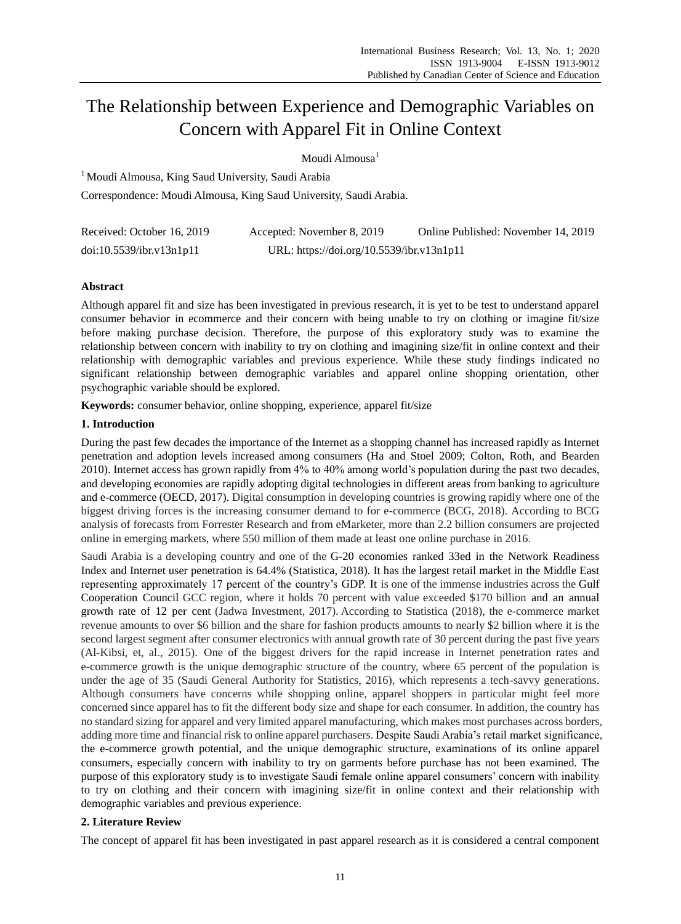# The Relationship between Experience and Demographic Variables on Concern with Apparel Fit in Online Context

Moudi Almousa<sup>1</sup>

<sup>1</sup> Moudi Almousa, King Saud University, Saudi Arabia Correspondence: Moudi Almousa, King Saud University, Saudi Arabia.

| Received: October 16, 2019 | Accepted: November 8, 2019                | Online Published: November 14, 2019 |
|----------------------------|-------------------------------------------|-------------------------------------|
| doi:10.5539/ibr.v13n1p11   | URL: https://doi.org/10.5539/ibr.v13n1p11 |                                     |

# **Abstract**

Although apparel fit and size has been investigated in previous research, it is yet to be test to understand apparel consumer behavior in ecommerce and their concern with being unable to try on clothing or imagine fit/size before making purchase decision. Therefore, the purpose of this exploratory study was to examine the relationship between concern with inability to try on clothing and imagining size/fit in online context and their relationship with demographic variables and previous experience. While these study findings indicated no significant relationship between demographic variables and apparel online shopping orientation, other psychographic variable should be explored.

**Keywords:** consumer behavior, online shopping, experience, apparel fit/size

## **1. Introduction**

During the past few decades the importance of the Internet as a shopping channel has increased rapidly as Internet penetration and adoption levels increased among consumers (Ha and Stoel 2009; Colton, Roth, and Bearden 2010). Internet access has grown rapidly from 4% to 40% among world's population during the past two decades, and developing economies are rapidly adopting digital technologies in different areas from banking to agriculture and e-commerce (OECD, 2017). Digital consumption in developing countries is growing rapidly where one of the biggest driving forces is the increasing consumer demand to for e-commerce (BCG, 2018). According to BCG analysis of forecasts from Forrester Research and from eMarketer, more than 2.2 billion consumers are projected online in emerging markets, where 550 million of them made at least one online purchase in 2016.

Saudi Arabia is a developing country and one of the G-20 economies ranked 33ed in the Network Readiness Index and Internet user penetration is 64.4% (Statistica, 2018). It has the largest retail market in the Middle East representing approximately 17 percent of the country's GDP. It is one of the immense industries across the Gulf Cooperation Council GCC region, where it holds 70 percent with value exceeded \$170 billion and an annual growth rate of 12 per cent (Jadwa Investment, 2017). According to Statistica (2018), the e-commerce market revenue amounts to over \$6 billion and the share for fashion products amounts to nearly \$2 billion where it is the second largest segment after consumer electronics with annual growth rate of 30 percent during the past five years (Al-Kibsi, et, al., 2015). One of the biggest drivers for the rapid increase in Internet penetration rates and e-commerce growth is the unique demographic structure of the country, where 65 percent of the population is under the age of 35 (Saudi General Authority for Statistics, 2016), which represents a tech-savvy generations. Although consumers have concerns while shopping online, apparel shoppers in particular might feel more concerned since apparel has to fit the different body size and shape for each consumer. In addition, the country has no standard sizing for apparel and very limited apparel manufacturing, which makes most purchases across borders, adding more time and financial risk to online apparel purchasers. Despite Saudi Arabia's retail market significance, the e-commerce growth potential, and the unique demographic structure, examinations of its online apparel consumers, especially concern with inability to try on garments before purchase has not been examined. The purpose of this exploratory study is to investigate Saudi female online apparel consumers' concern with inability to try on clothing and their concern with imagining size/fit in online context and their relationship with demographic variables and previous experience.

## **2. Literature Review**

The concept of apparel fit has been investigated in past apparel research as it is considered a central component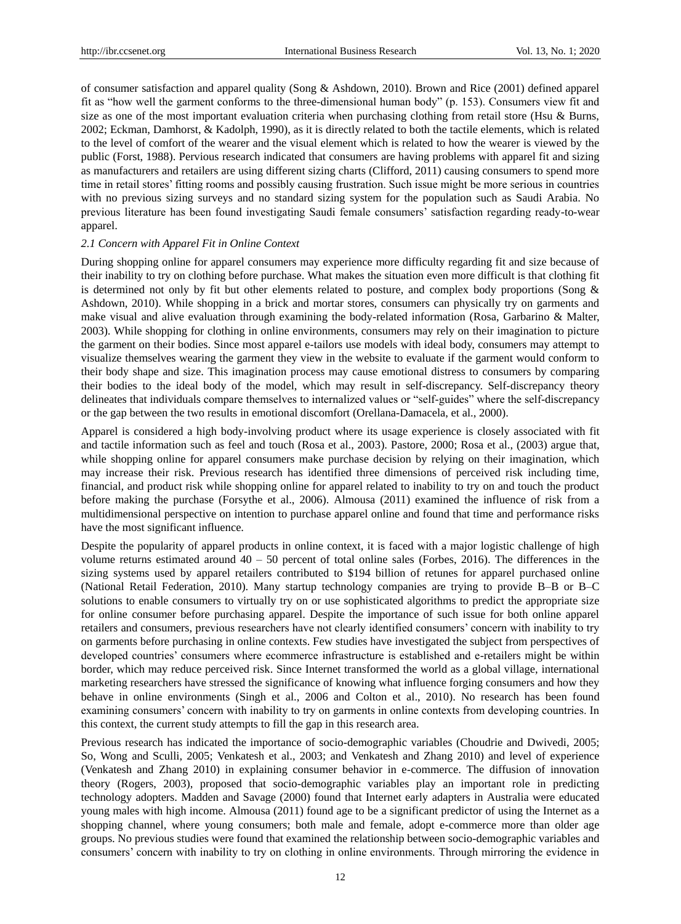of consumer satisfaction and apparel quality (Song & Ashdown, 2010). Brown and Rice (2001) defined apparel fit as "how well the garment conforms to the three-dimensional human body" (p. 153). Consumers view fit and size as one of the most important evaluation criteria when purchasing clothing from retail store (Hsu & Burns, 2002; Eckman, Damhorst, & Kadolph, 1990), as it is directly related to both the tactile elements, which is related to the level of comfort of the wearer and the visual element which is related to how the wearer is viewed by the public (Forst, 1988). Pervious research indicated that consumers are having problems with apparel fit and sizing as manufacturers and retailers are using different sizing charts (Clifford, 2011) causing consumers to spend more time in retail stores' fitting rooms and possibly causing frustration. Such issue might be more serious in countries with no previous sizing surveys and no standard sizing system for the population such as Saudi Arabia. No previous literature has been found investigating Saudi female consumers' satisfaction regarding ready-to-wear apparel.

### *2.1 Concern with Apparel Fit in Online Context*

During shopping online for apparel consumers may experience more difficulty regarding fit and size because of their inability to try on clothing before purchase. What makes the situation even more difficult is that clothing fit is determined not only by fit but other elements related to posture, and complex body proportions (Song & Ashdown, 2010). While shopping in a brick and mortar stores, consumers can physically try on garments and make visual and alive evaluation through examining the body-related information (Rosa, Garbarino & Malter, 2003). While shopping for clothing in online environments, consumers may rely on their imagination to picture the garment on their bodies. Since most apparel e-tailors use models with ideal body, consumers may attempt to visualize themselves wearing the garment they view in the website to evaluate if the garment would conform to their body shape and size. This imagination process may cause emotional distress to consumers by comparing their bodies to the ideal body of the model, which may result in self-discrepancy. Self-discrepancy theory delineates that individuals compare themselves to internalized values or "self-guides" where the self-discrepancy or the gap between the two results in emotional discomfort (Orellana-Damacela, et al., 2000).

Apparel is considered a high body-involving product where its usage experience is closely associated with fit and tactile information such as feel and touch (Rosa et al., 2003). Pastore, 2000; Rosa et al., (2003) argue that, while shopping online for apparel consumers make purchase decision by relying on their imagination, which may increase their risk. Previous research has identified three dimensions of perceived risk including time, financial, and product risk while shopping online for apparel related to inability to try on and touch the product before making the purchase (Forsythe et al., 2006). Almousa (2011) examined the influence of risk from a multidimensional perspective on intention to purchase apparel online and found that time and performance risks have the most significant influence.

Despite the popularity of apparel products in online context, it is faced with a major logistic challenge of high volume returns estimated around  $40 - 50$  percent of total online sales (Forbes, 2016). The differences in the sizing systems used by apparel retailers contributed to \$194 billion of retunes for apparel purchased online (National Retail Federation, 2010). Many startup technology companies are trying to provide B–B or B–C solutions to enable consumers to virtually try on or use sophisticated algorithms to predict the appropriate size for online consumer before purchasing apparel. Despite the importance of such issue for both online apparel retailers and consumers, previous researchers have not clearly identified consumers' concern with inability to try on garments before purchasing in online contexts. Few studies have investigated the subject from perspectives of developed countries' consumers where ecommerce infrastructure is established and e-retailers might be within border, which may reduce perceived risk. Since Internet transformed the world as a global village, international marketing researchers have stressed the significance of knowing what influence forging consumers and how they behave in online environments (Singh et al., 2006 and Colton et al., 2010). No research has been found examining consumers' concern with inability to try on garments in online contexts from developing countries. In this context, the current study attempts to fill the gap in this research area.

Previous research has indicated the importance of socio-demographic variables (Choudrie and Dwivedi, 2005; So, Wong and Sculli, 2005; Venkatesh et al., 2003; and Venkatesh and Zhang 2010) and level of experience (Venkatesh and Zhang 2010) in explaining consumer behavior in e-commerce. The diffusion of innovation theory (Rogers, 2003), proposed that socio-demographic variables play an important role in predicting technology adopters. Madden and Savage (2000) found that Internet early adapters in Australia were educated young males with high income. Almousa (2011) found age to be a significant predictor of using the Internet as a shopping channel, where young consumers; both male and female, adopt e-commerce more than older age groups. No previous studies were found that examined the relationship between socio-demographic variables and consumers' concern with inability to try on clothing in online environments. Through mirroring the evidence in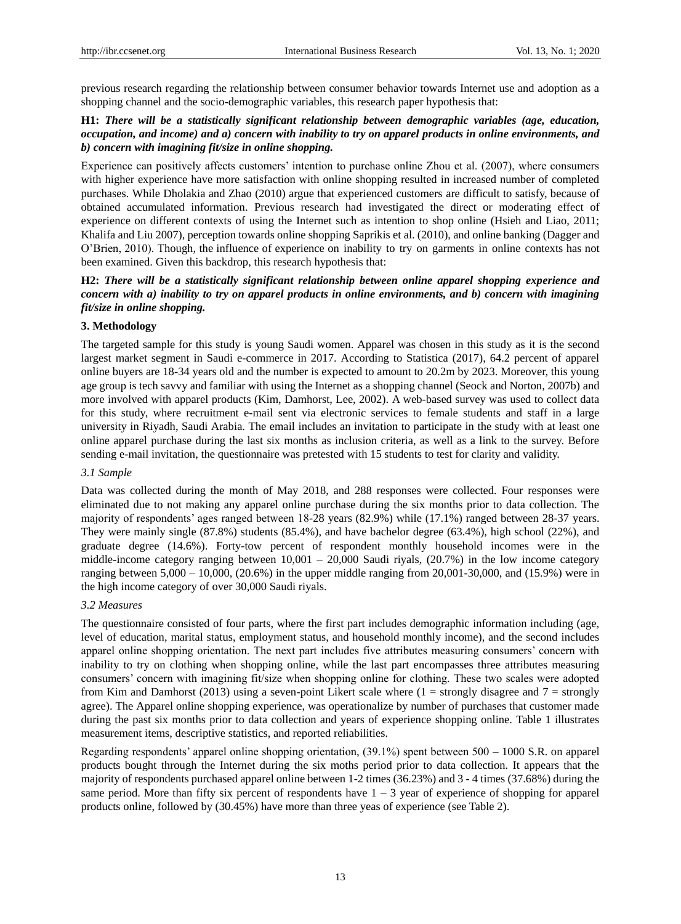previous research regarding the relationship between consumer behavior towards Internet use and adoption as a shopping channel and the socio-demographic variables, this research paper hypothesis that:

# **H1:** *There will be a statistically significant relationship between demographic variables (age, education, occupation, and income) and a) concern with inability to try on apparel products in online environments, and b) concern with imagining fit/size in online shopping.*

Experience can positively affects customers' intention to purchase online Zhou et al. (2007), where consumers with higher experience have more satisfaction with online shopping resulted in increased number of completed purchases. While Dholakia and Zhao (2010) argue that experienced customers are difficult to satisfy, because of obtained accumulated information. Previous research had investigated the direct or moderating effect of experience on different contexts of using the Internet such as intention to shop online (Hsieh and Liao, 2011; Khalifa and Liu 2007), perception towards online shopping Saprikis et al. (2010), and online banking (Dagger and O'Brien, 2010). Though, the influence of experience on inability to try on garments in online contexts has not been examined. Given this backdrop, this research hypothesis that:

# **H2:** *There will be a statistically significant relationship between online apparel shopping experience and concern with a) inability to try on apparel products in online environments, and b) concern with imagining fit/size in online shopping.*

## **3. Methodology**

The targeted sample for this study is young Saudi women. Apparel was chosen in this study as it is the second largest market segment in Saudi e-commerce in 2017. According to Statistica (2017), 64.2 percent of apparel online buyers are 18-34 years old and the number is expected to amount to 20.2m by 2023. Moreover, this young age group is tech savvy and familiar with using the Internet as a shopping channel (Seock and Norton, 2007b) and more involved with apparel products (Kim, Damhorst, Lee, 2002). A web-based survey was used to collect data for this study, where recruitment e-mail sent via electronic services to female students and staff in a large university in Riyadh, Saudi Arabia. The email includes an invitation to participate in the study with at least one online apparel purchase during the last six months as inclusion criteria, as well as a link to the survey. Before sending e-mail invitation, the questionnaire was pretested with 15 students to test for clarity and validity.

#### *3.1 Sample*

Data was collected during the month of May 2018, and 288 responses were collected. Four responses were eliminated due to not making any apparel online purchase during the six months prior to data collection. The majority of respondents' ages ranged between 18-28 years (82.9%) while (17.1%) ranged between 28-37 years. They were mainly single (87.8%) students (85.4%), and have bachelor degree (63.4%), high school (22%), and graduate degree (14.6%). Forty-tow percent of respondent monthly household incomes were in the middle-income category ranging between  $10,001 - 20,000$  Saudi riyals, (20.7%) in the low income category ranging between  $5,000 - 10,000$ ,  $(20.6%)$  in the upper middle ranging from  $20,001-30,000$ , and  $(15.9%)$  were in the high income category of over 30,000 Saudi riyals.

#### *3.2 Measures*

The questionnaire consisted of four parts, where the first part includes demographic information including (age, level of education, marital status, employment status, and household monthly income), and the second includes apparel online shopping orientation. The next part includes five attributes measuring consumers' concern with inability to try on clothing when shopping online, while the last part encompasses three attributes measuring consumers' concern with imagining fit/size when shopping online for clothing. These two scales were adopted from Kim and Damhorst (2013) using a seven-point Likert scale where  $(1 =$  strongly disagree and  $7 =$  strongly agree). The Apparel online shopping experience, was operationalize by number of purchases that customer made during the past six months prior to data collection and years of experience shopping online. Table 1 illustrates measurement items, descriptive statistics, and reported reliabilities.

Regarding respondents' apparel online shopping orientation, (39.1%) spent between 500 – 1000 S.R. on apparel products bought through the Internet during the six moths period prior to data collection. It appears that the majority of respondents purchased apparel online between 1-2 times (36.23%) and 3 - 4 times (37.68%) during the same period. More than fifty six percent of respondents have  $1 - 3$  year of experience of shopping for apparel products online, followed by (30.45%) have more than three yeas of experience (see Table 2).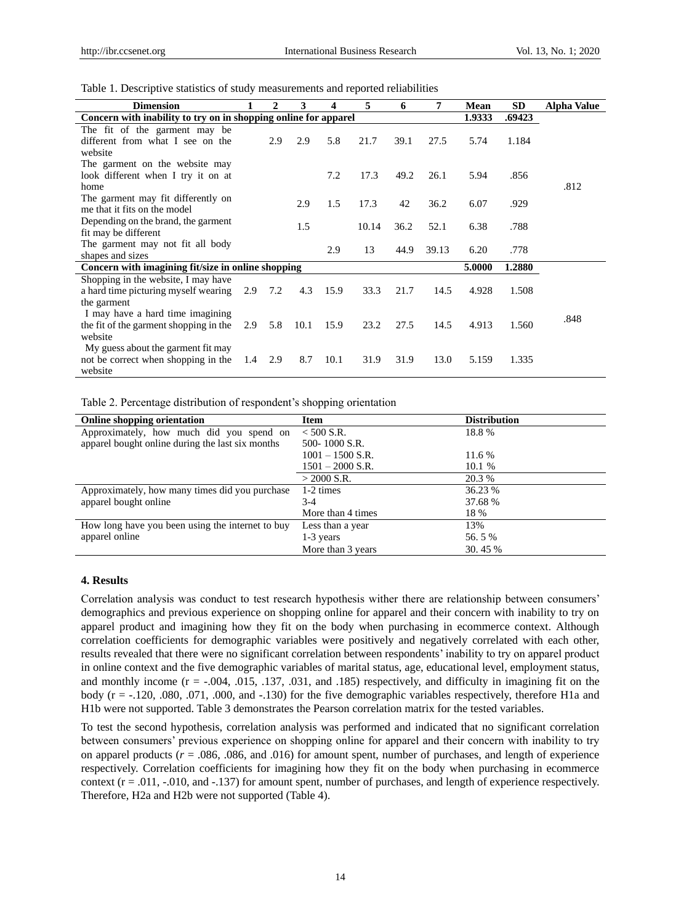Table 1. Descriptive statistics of study measurements and reported reliabilities

| <b>Dimension</b>                                                |     | $\mathbf{2}$ | 3    | 4    | 5     | 6    | 7     | Mean   | <b>SD</b> | Alpha Value |
|-----------------------------------------------------------------|-----|--------------|------|------|-------|------|-------|--------|-----------|-------------|
| Concern with inability to try on in shopping online for apparel |     |              |      |      |       |      |       | 1.9333 | .69423    |             |
| The fit of the garment may be                                   |     |              |      |      |       |      |       |        |           |             |
| different from what I see on the                                |     | 2.9          | 2.9  | 5.8  | 21.7  | 39.1 | 27.5  | 5.74   | 1.184     |             |
| website                                                         |     |              |      |      |       |      |       |        |           |             |
| The garment on the website may                                  |     |              |      |      |       |      |       |        |           |             |
| look different when I try it on at                              |     |              |      | 7.2  | 17.3  | 49.2 | 26.1  | 5.94   | .856      |             |
| home                                                            |     |              |      |      |       |      |       |        |           | .812        |
| The garment may fit differently on                              |     |              | 2.9  | 1.5  | 17.3  | 42   | 36.2  | 6.07   | .929      |             |
| me that it fits on the model                                    |     |              |      |      |       |      |       |        |           |             |
| Depending on the brand, the garment                             |     |              | 1.5  |      | 10.14 | 36.2 | 52.1  | 6.38   | .788      |             |
| fit may be different                                            |     |              |      |      |       |      |       |        |           |             |
| The garment may not fit all body                                |     |              |      | 2.9  | 13    | 44.9 | 39.13 | 6.20   | .778      |             |
| shapes and sizes                                                |     |              |      |      |       |      |       |        |           |             |
| Concern with imagining fit/size in online shopping              |     |              |      |      |       |      |       | 5.0000 | 1.2880    |             |
| Shopping in the website, I may have                             |     |              |      |      |       |      |       |        |           |             |
| a hard time picturing myself wearing                            | 2.9 | 7.2          | 4.3  | 15.9 | 33.3  | 21.7 | 14.5  | 4.928  | 1.508     |             |
| the garment                                                     |     |              |      |      |       |      |       |        |           |             |
| I may have a hard time imagining                                |     |              |      |      |       |      |       |        |           | .848        |
| the fit of the garment shopping in the                          | 2.9 | 5.8          | 10.1 | 15.9 | 23.2  | 27.5 | 14.5  | 4.913  | 1.560     |             |
| website                                                         |     |              |      |      |       |      |       |        |           |             |
| My guess about the garment fit may                              |     |              |      |      |       |      |       |        |           |             |
| not be correct when shopping in the                             | 1.4 | 2.9          | 8.7  | 10.1 | 31.9  | 31.9 | 13.0  | 5.159  | 1.335     |             |
| website                                                         |     |              |      |      |       |      |       |        |           |             |

Table 2. Percentage distribution of respondent's shopping orientation

| <b>Online shopping orientation</b>               | <b>Item</b>        | <b>Distribution</b> |
|--------------------------------------------------|--------------------|---------------------|
| Approximately, how much did you spend on         | $< 500$ S.R.       | 18.8%               |
| apparel bought online during the last six months | 500-1000 S.R.      |                     |
|                                                  | $1001 - 1500$ S.R. | 11.6 %              |
|                                                  | $1501 - 2000$ S.R. | 10.1 %              |
|                                                  | $>$ 2000 S.R.      | 20.3 %              |
| Approximately, how many times did you purchase   | 1-2 times          | 36.23 %             |
| apparel bought online                            | $3-4$              | 37.68 %             |
|                                                  | More than 4 times  | 18 %                |
| How long have you been using the internet to buy | Less than a year   | 13%                 |
| apparel online                                   | $1-3$ years        | 56.5%               |
|                                                  | More than 3 years  | 30.45 %             |

## **4. Results**

Correlation analysis was conduct to test research hypothesis wither there are relationship between consumers' demographics and previous experience on shopping online for apparel and their concern with inability to try on apparel product and imagining how they fit on the body when purchasing in ecommerce context. Although correlation coefficients for demographic variables were positively and negatively correlated with each other, results revealed that there were no significant correlation between respondents' inability to try on apparel product in online context and the five demographic variables of marital status, age, educational level, employment status, and monthly income  $(r = -.004, .015, .137, .031,$  and  $.185)$  respectively, and difficulty in imagining fit on the body (r = -.120, .080, .071, .000, and -.130) for the five demographic variables respectively, therefore H1a and H1b were not supported. Table 3 demonstrates the Pearson correlation matrix for the tested variables.

To test the second hypothesis, correlation analysis was performed and indicated that no significant correlation between consumers' previous experience on shopping online for apparel and their concern with inability to try on apparel products  $(r = .086, .086, .086, .016)$  for amount spent, number of purchases, and length of experience respectively. Correlation coefficients for imagining how they fit on the body when purchasing in ecommerce context  $(r = .011, -.010, and -.137)$  for amount spent, number of purchases, and length of experience respectively. Therefore, H2a and H2b were not supported (Table 4).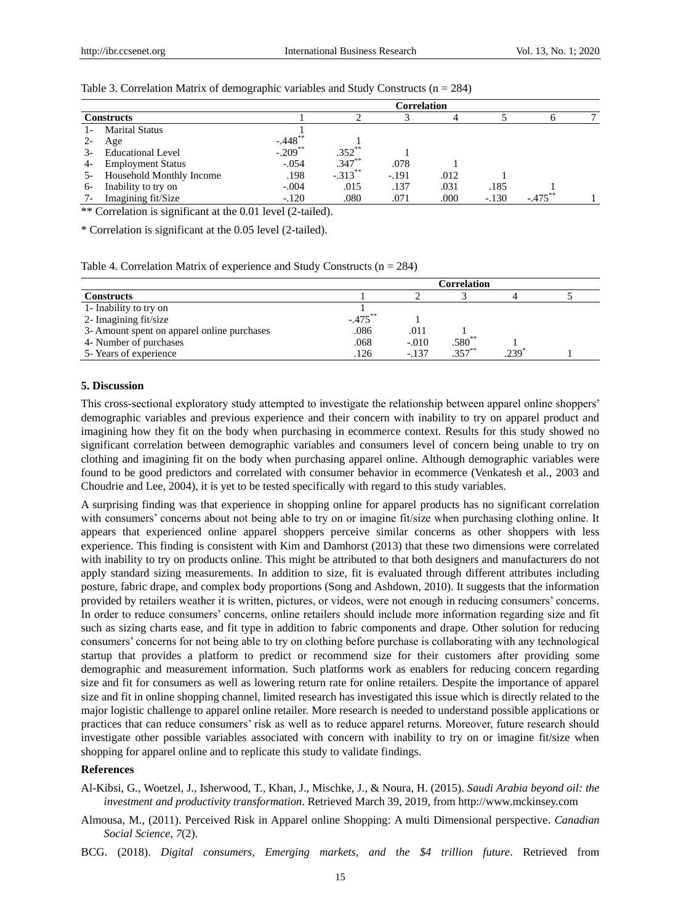|      |                          |                       |            | Correlation |      |         |         |  |
|------|--------------------------|-----------------------|------------|-------------|------|---------|---------|--|
|      | <b>Constructs</b>        |                       |            |             |      |         |         |  |
|      | <b>Marital Status</b>    |                       |            |             |      |         |         |  |
|      | Age                      | $-.448$ <sup>**</sup> |            |             |      |         |         |  |
|      | Educational Level        | $-.209$ <sup>**</sup> | $.352***$  |             |      |         |         |  |
| 4-   | <b>Employment Status</b> | $-.054$               | $.347***$  | .078        |      |         |         |  |
| -c   | Household Monthly Income | .198                  | $-.313***$ | $-.191$     | .012 |         |         |  |
| 6-   | Inability to try on      | $-.004$               | .015       | .137        | .031 | .185    |         |  |
| $7-$ | Imagining fit/Size       | $-.120$               | .080       | .071        | .000 | $-.130$ | $-.475$ |  |

Table 3. Correlation Matrix of demographic variables and Study Constructs ( $n = 284$ )

\*\* Correlation is significant at the 0.01 level (2-tailed).

\* Correlation is significant at the 0.05 level (2-tailed).

Table 4. Correlation Matrix of experience and Study Constructs ( $n = 284$ )

|                                             | <b>Correlation</b> |         |                      |     |  |  |  |
|---------------------------------------------|--------------------|---------|----------------------|-----|--|--|--|
| <b>Constructs</b>                           |                    |         |                      |     |  |  |  |
| 1- Inability to try on                      |                    |         |                      |     |  |  |  |
| 2- Imagining fit/size                       | $-.475***$         |         |                      |     |  |  |  |
| 3- Amount spent on apparel online purchases | .086               | .011    |                      |     |  |  |  |
| 4- Number of purchases                      | .068               | $-.010$ | $.580^{**}$<br>357** |     |  |  |  |
| 5- Years of experience                      | .126               | $-.137$ |                      | 239 |  |  |  |

#### **5. Discussion**

This cross-sectional exploratory study attempted to investigate the relationship between apparel online shoppers' demographic variables and previous experience and their concern with inability to try on apparel product and imagining how they fit on the body when purchasing in ecommerce context. Results for this study showed no significant correlation between demographic variables and consumers level of concern being unable to try on clothing and imagining fit on the body when purchasing apparel online. Although demographic variables were found to be good predictors and correlated with consumer behavior in ecommerce (Venkatesh et al., 2003 and Choudrie and Lee, 2004), it is yet to be tested specifically with regard to this study variables.

A surprising finding was that experience in shopping online for apparel products has no significant correlation with consumers' concerns about not being able to try on or imagine fit/size when purchasing clothing online. It appears that experienced online apparel shoppers perceive similar concerns as other shoppers with less experience. This finding is consistent with Kim and Damhorst (2013) that these two dimensions were correlated with inability to try on products online. This might be attributed to that both designers and manufacturers do not apply standard sizing measurements. In addition to size, fit is evaluated through different attributes including posture, fabric drape, and complex body proportions (Song and Ashdown, 2010). It suggests that the information provided by retailers weather it is written, pictures, or videos, were not enough in reducing consumers' concerns. In order to reduce consumers' concerns, online retailers should include more information regarding size and fit such as sizing charts ease, and fit type in addition to fabric components and drape. Other solution for reducing consumers' concerns for not being able to try on clothing before purchase is collaborating with any technological startup that provides a platform to predict or recommend size for their customers after providing some demographic and measurement information. Such platforms work as enablers for reducing concern regarding size and fit for consumers as well as lowering return rate for online retailers. Despite the importance of apparel size and fit in online shopping channel, limited research has investigated this issue which is directly related to the major logistic challenge to apparel online retailer. More research is needed to understand possible applications or practices that can reduce consumers' risk as well as to reduce apparel returns. Moreover, future research should investigate other possible variables associated with concern with inability to try on or imagine fit/size when shopping for apparel online and to replicate this study to validate findings.

# **References**

- Al-Kibsi, G., Woetzel, J., Isherwood, T., Khan, J., Mischke, J., & Noura, H. (2015). *Saudi Arabia beyond oil: the investment and productivity transformation*. Retrieved March 39, 2019, from http://www.mckinsey.com
- Almousa, M., (2011). Perceived Risk in Apparel online Shopping: A multi Dimensional perspective. *Canadian Social Science*, *7*(2).
- BCG. (2018). *Digital consumers, Emerging markets, and the \$4 trillion future*. Retrieved from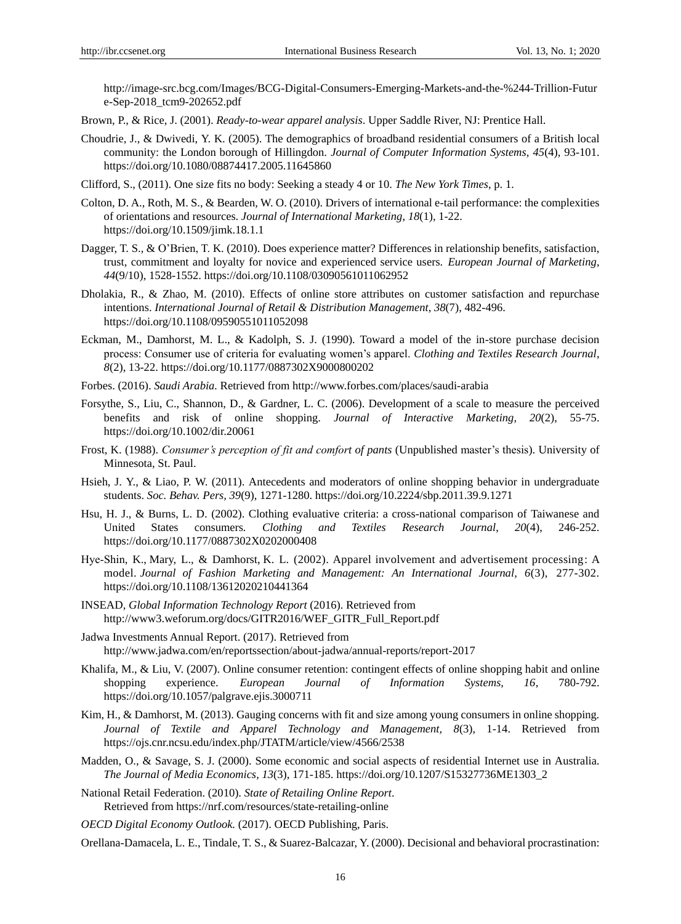http://image-src.bcg.com/Images/BCG-Digital-Consumers-Emerging-Markets-and-the-%244-Trillion-Futur e-Sep-2018\_tcm9-202652.pdf

- Brown, P., & Rice, J. (2001). *Ready-to-wear apparel analysis*. Upper Saddle River, NJ: Prentice Hall.
- Choudrie, J., & Dwivedi, Y. K. (2005). The demographics of broadband residential consumers of a British local community: the London borough of Hillingdon. *Journal of Computer Information Systems, 45*(4), 93-101. https://doi.org[/10.1080/08874417.2005.11645860](https://doi.org/10.1080/08874417.2005.11645860)
- Clifford, S., (2011). One size fits no body: Seeking a steady 4 or 10. *The New York Times*, p. 1.
- Colton, D. A., Roth, M. S., & Bearden, W. O. (2010). Drivers of international e-tail performance: the complexities of orientations and resources. *Journal of International Marketing*, *18*(1), 1-22. https://doi.org/10.1509/jimk.18.1.1
- Dagger, T. S., & O'Brien, T. K. (2010). Does experience matter? Differences in relationship benefits, satisfaction, trust, commitment and loyalty for novice and experienced service users. *European Journal of Marketing*, *44*(9/10), 1528-1552. https://doi.org/10.1108/03090561011062952
- Dholakia, R., & Zhao, M. (2010). Effects of online store attributes on customer satisfaction and repurchase intentions. *International Journal of Retail & Distribution Management, 38*(7), 482-496. https://doi.org/10.1108/09590551011052098
- Eckman, M., Damhorst, M. L., & Kadolph, S. J. (1990). Toward a model of the in-store purchase decision process: Consumer use of criteria for evaluating women's apparel. *Clothing and Textiles Research Journal*, *8*(2), 13-22. https://doi.org/10.1177/0887302X9000800202
- Forbes. (2016). *Saudi Arabia.* Retrieved from http://www.forbes.com/places/saudi-arabia
- Forsythe, S., Liu, C., Shannon, D., & Gardner, L. C. (2006). Development of a scale to measure the perceived benefits and risk of online shopping. *Journal of Interactive Marketing, 20*(2), 55-75. https://doi.org/10.1002/dir.20061
- Frost, K. (1988). *Consumer's perception of fit and comfort of pants* (Unpublished master's thesis). University of Minnesota, St. Paul.
- Hsieh, J. Y., & Liao, P. W. (2011). Antecedents and moderators of online shopping behavior in undergraduate students. *Soc. Behav. Pers, 39*(9), 1271-1280. https://doi.org/10.2224/sbp.2011.39.9.1271
- Hsu, H. J., & Burns, L. D. (2002). Clothing evaluative criteria: a cross-national comparison of Taiwanese and United States consumers*. Clothing and Textiles Research Journal*, *20*(4), 246-252. [https://doi.org/10.1177/0887302X0202000408](https://doi.org/10.1177%2F0887302X0202000408)
- [Hye‐Shin,](https://www.emeraldinsight.com/author/Kim%2C+Hye-Shin) K., Mary, L., [& Damhorst,](https://www.emeraldinsight.com/author/Lynn+Damhorst%2C+Mary) K. L. (2002). Apparel involvement and advertisement processing: A model. *Journal of Fashion Marketing and Management: An International Journal, 6*(3), 277-302. https://doi.org/10.1108/13612020210441364
- INSEAD, *Global Information Technology Report* (2016). Retrieved from [http://www3.weforum.org/docs/GITR2016/WEF\\_GITR\\_Full\\_Report.pdf](http://www3.weforum.org/docs/GITR2016/WEF_GITR_Full_Report.pdf)
- Jadwa Investments Annual Report. (2017). Retrieved from http://www.jadwa.com/en/reportssection/about-jadwa/annual-reports/report-2017
- Khalifa, M., & Liu, V. (2007). Online consumer retention: contingent effects of online shopping habit and online shopping experience. *European Journal of Information Systems, 16*, 780-792. https://doi.org/10.1057/palgrave.ejis.3000711
- Kim, H., & Damhorst, M. (2013). Gauging concerns with fit and size among young consumers in online shopping*. Journal of Textile and Apparel Technology and Management, 8*(3), 1-14. Retrieved from <https://ojs.cnr.ncsu.edu/index.php/JTATM/article/view/4566/2538>
- Madden, O., & Savage, S. J. (2000). Some economic and social aspects of residential Internet use in Australia. *The Journal of Media Economics*, *13*(3), 171-185. [https://doi.org/10.1207/S15327736ME1303\\_2](https://doi.org/10.1207/S15327736ME1303_2)

National Retail Federation. (2010). *State of Retailing Online Report*. Retrieved from https://nrf.com/resources/state-retailing-online

*OECD Digital Economy Outlook.* (2017). OECD Publishing, Paris.

Orellana-Damacela, L. E., Tindale, T. S., & Suarez-Balcazar, Y. (2000). Decisional and behavioral procrastination: